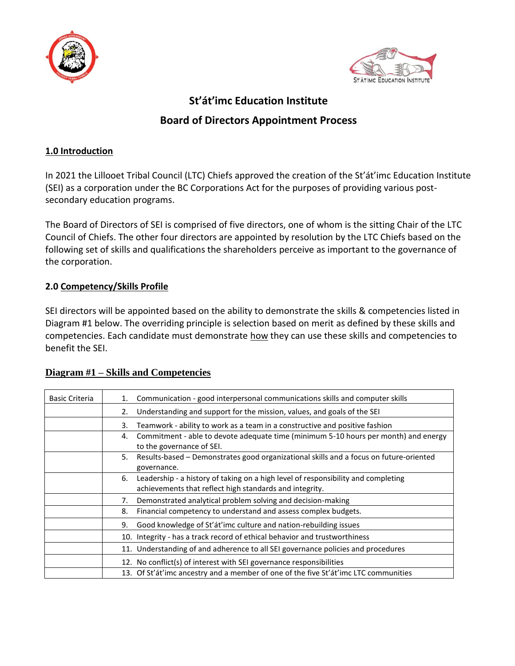



# **St'át'imc Education Institute Board of Directors Appointment Process**

## **1.0 Introduction**

In 2021 the Lillooet Tribal Council (LTC) Chiefs approved the creation of the St'át'imc Education Institute (SEI) as a corporation under the BC Corporations Act for the purposes of providing various postsecondary education programs.

The Board of Directors of SEI is comprised of five directors, one of whom is the sitting Chair of the LTC Council of Chiefs. The other four directors are appointed by resolution by the LTC Chiefs based on the following set of skills and qualifications the shareholders perceive as important to the governance of the corporation.

## **2.0 Competency/Skills Profile**

SEI directors will be appointed based on the ability to demonstrate the skills & competencies listed in Diagram #1 below. The overriding principle is selection based on merit as defined by these skills and competencies. Each candidate must demonstrate how they can use these skills and competencies to benefit the SEI.

| <b>Basic Criteria</b> | Communication - good interpersonal communications skills and computer skills<br>1.                                                                 |
|-----------------------|----------------------------------------------------------------------------------------------------------------------------------------------------|
|                       | Understanding and support for the mission, values, and goals of the SEI<br>2.                                                                      |
|                       | Teamwork - ability to work as a team in a constructive and positive fashion<br>3.                                                                  |
|                       | Commitment - able to devote adequate time (minimum 5-10 hours per month) and energy<br>4.<br>to the governance of SEI.                             |
|                       | 5.<br>Results-based – Demonstrates good organizational skills and a focus on future-oriented<br>governance.                                        |
|                       | Leadership - a history of taking on a high level of responsibility and completing<br>6.<br>achievements that reflect high standards and integrity. |
|                       | Demonstrated analytical problem solving and decision-making<br>7.                                                                                  |
|                       | Financial competency to understand and assess complex budgets.<br>8.                                                                               |
|                       | Good knowledge of St'at'imc culture and nation-rebuilding issues<br>9.                                                                             |
|                       | 10. Integrity - has a track record of ethical behavior and trustworthiness                                                                         |
|                       | 11. Understanding of and adherence to all SEI governance policies and procedures                                                                   |
|                       | 12. No conflict(s) of interest with SEI governance responsibilities                                                                                |
|                       | 13. Of St'át'imc ancestry and a member of one of the five St'át'imc LTC communities                                                                |

# **Diagram #1 – Skills and Competencies**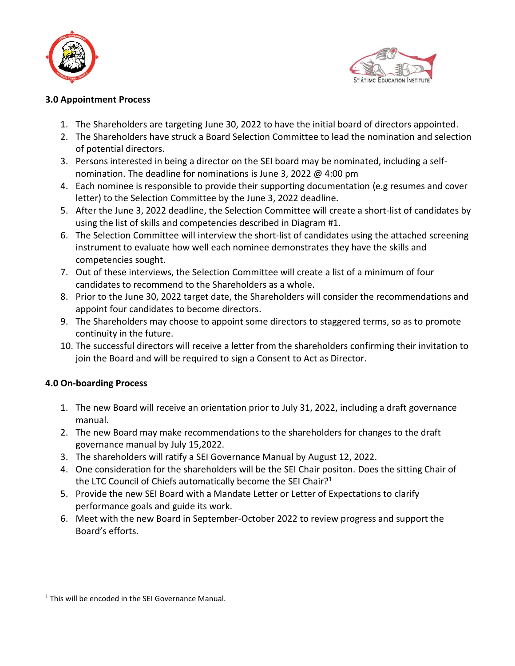



#### **3.0 Appointment Process**

- 1. The Shareholders are targeting June 30, 2022 to have the initial board of directors appointed.
- 2. The Shareholders have struck a Board Selection Committee to lead the nomination and selection of potential directors.
- 3. Persons interested in being a director on the SEI board may be nominated, including a selfnomination. The deadline for nominations is June 3, 2022 @ 4:00 pm
- 4. Each nominee is responsible to provide their supporting documentation (e.g resumes and cover letter) to the Selection Committee by the June 3, 2022 deadline.
- 5. After the June 3, 2022 deadline, the Selection Committee will create a short-list of candidates by using the list of skills and competencies described in Diagram #1.
- 6. The Selection Committee will interview the short-list of candidates using the attached screening instrument to evaluate how well each nominee demonstrates they have the skills and competencies sought.
- 7. Out of these interviews, the Selection Committee will create a list of a minimum of four candidates to recommend to the Shareholders as a whole.
- 8. Prior to the June 30, 2022 target date, the Shareholders will consider the recommendations and appoint four candidates to become directors.
- 9. The Shareholders may choose to appoint some directors to staggered terms, so as to promote continuity in the future.
- 10. The successful directors will receive a letter from the shareholders confirming their invitation to join the Board and will be required to sign a Consent to Act as Director.

#### **4.0 On-boarding Process**

 $\overline{a}$ 

- 1. The new Board will receive an orientation prior to July 31, 2022, including a draft governance manual.
- 2. The new Board may make recommendations to the shareholders for changes to the draft governance manual by July 15,2022.
- 3. The shareholders will ratify a SEI Governance Manual by August 12, 2022.
- 4. One consideration for the shareholders will be the SEI Chair positon. Does the sitting Chair of the LTC Council of Chiefs automatically become the SEI Chair?<sup>1</sup>
- 5. Provide the new SEI Board with a Mandate Letter or Letter of Expectations to clarify performance goals and guide its work.
- 6. Meet with the new Board in September-October 2022 to review progress and support the Board's efforts.

<sup>&</sup>lt;sup>1</sup> This will be encoded in the SEI Governance Manual.